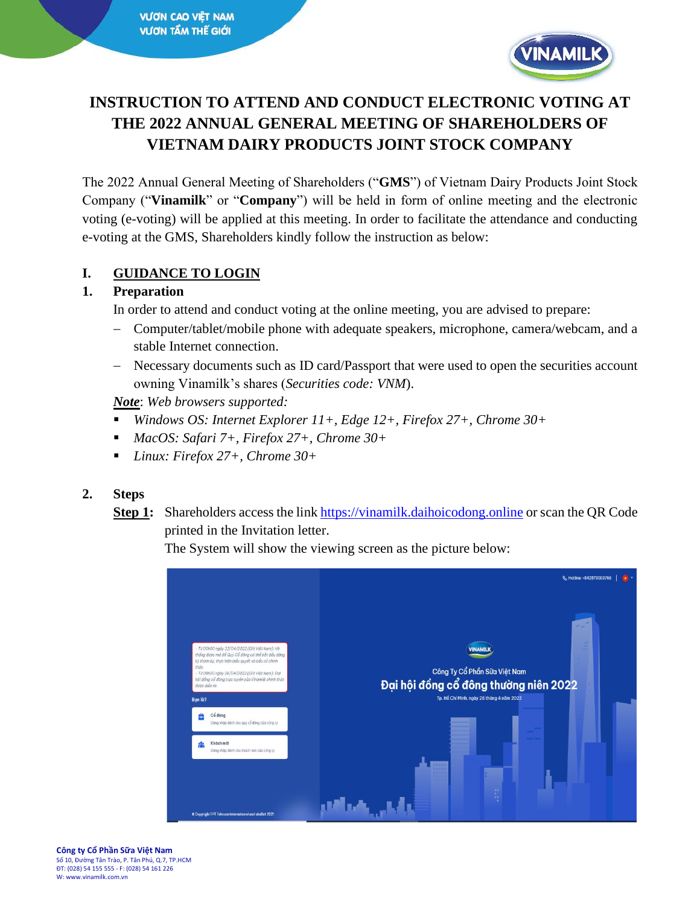

# **INSTRUCTION TO ATTEND AND CONDUCT ELECTRONIC VOTING AT THE 2022 ANNUAL GENERAL MEETING OF SHAREHOLDERS OF VIETNAM DAIRY PRODUCTS JOINT STOCK COMPANY**

The 2022 Annual General Meeting of Shareholders ("**GMS**") of Vietnam Dairy Products Joint Stock Company ("**Vinamilk**" or "**Company**") will be held in form of online meeting and the electronic voting (e-voting) will be applied at this meeting. In order to facilitate the attendance and conducting e-voting at the GMS, Shareholders kindly follow the instruction as below:

### **I. GUIDANCE TO LOGIN**

#### **1. Preparation**

In order to attend and conduct voting at the online meeting, you are advised to prepare:

- − Computer/tablet/mobile phone with adequate speakers, microphone, camera/webcam, and a stable Internet connection.
- − Necessary documents such as ID card/Passport that were used to open the securities account owning Vinamilk's shares (*Securities code: VNM*).

*Note*: *Web browsers supported:*

- *Windows OS: Internet Explorer 11+, Edge 12+, Firefox 27+, Chrome 30+*
- *MacOS: Safari 7+, Firefox 27+, Chrome 30+*
- *Linux: Firefox 27+, Chrome 30+*

### **2. Steps**

**Step 1:** Shareholders access the lin[k https://vinamilk.daihoicodong.online](https://vinamilk.daihoicodong.online/) or scan the QR Code printed in the Invitation letter.

The System will show the viewing screen as the picture below:

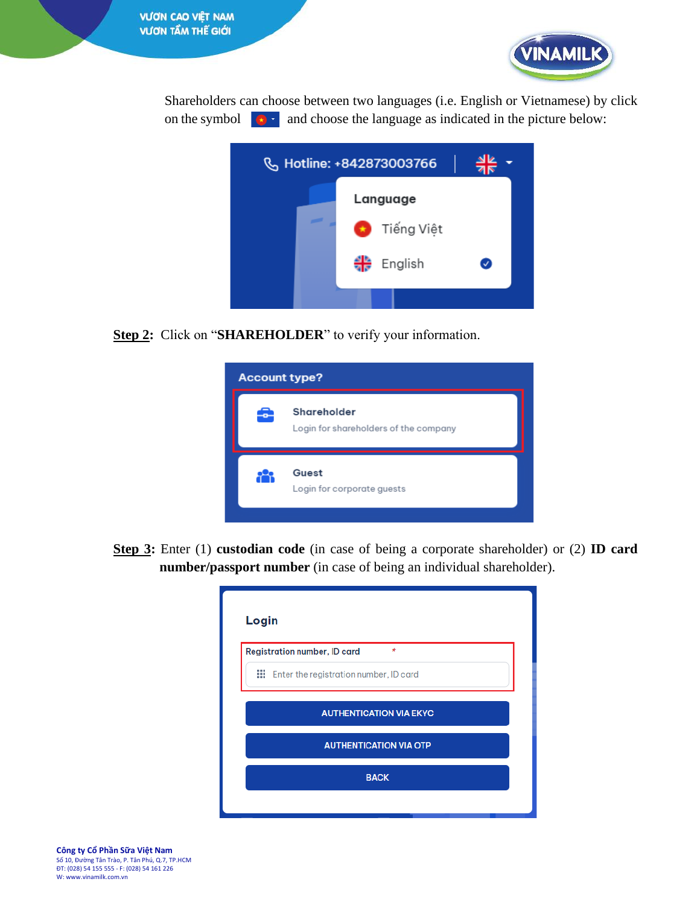

Shareholders can choose between two languages (i.e. English or Vietnamese) by click on the symbol  $\bullet$  and choose the language as indicated in the picture below:



**Step 2:** Click on "**SHAREHOLDER**" to verify your information.



**Step 3:** Enter (1) **custodian code** (in case of being a corporate shareholder) or (2) **ID card number/passport number** (in case of being an individual shareholder).

| Login |                                                   |  |  |  |  |
|-------|---------------------------------------------------|--|--|--|--|
|       | <b>Registration number, ID card</b><br>$\star$    |  |  |  |  |
|       | <b>III</b> Enter the registration number, ID card |  |  |  |  |
|       | <b>AUTHENTICATION VIA EKYC</b>                    |  |  |  |  |
|       | <b>AUTHENTICATION VIA OTP</b>                     |  |  |  |  |
|       | <b>BACK</b>                                       |  |  |  |  |
|       |                                                   |  |  |  |  |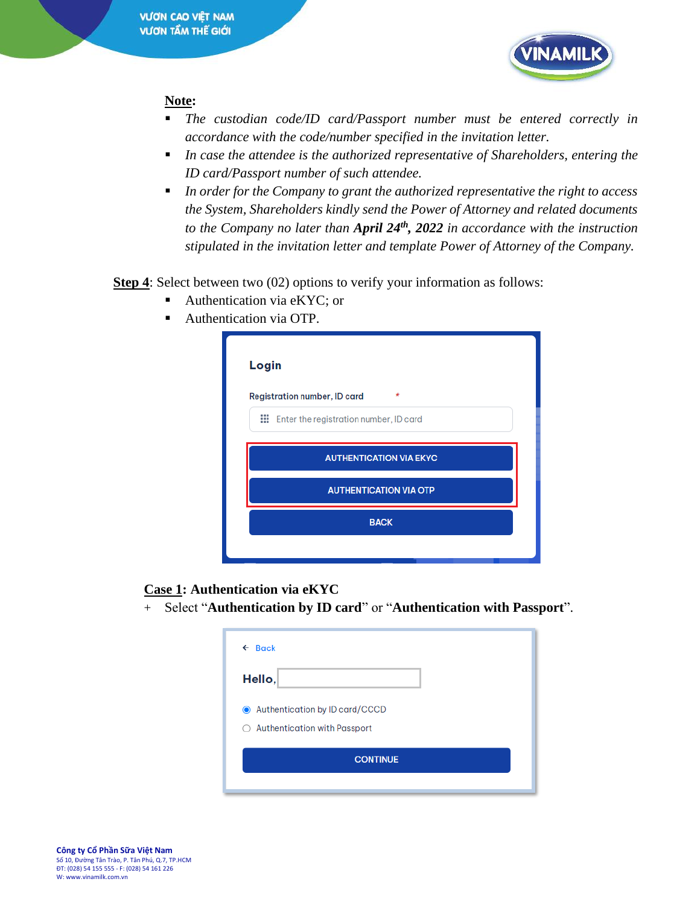

#### **Note:**

- *The custodian code/ID card/Passport number must be entered correctly in accordance with the code/number specified in the invitation letter.*
- *In case the attendee is the authorized representative of Shareholders, entering the ID card/Passport number of such attendee.*
- *In order for the Company to grant the authorized representative the right to access the System, Shareholders kindly send the Power of Attorney and related documents to the Company no later than April 24th, 2022 in accordance with the instruction stipulated in the invitation letter and template Power of Attorney of the Company.*

**Step 4**: Select between two (02) options to verify your information as follows:

- Authentication via eKYC; or
- Authentication via OTP.

| Login                          |                                                   |  |  |
|--------------------------------|---------------------------------------------------|--|--|
|                                | <b>Registration number, ID card</b><br>$\star$    |  |  |
|                                | <b>III</b> Enter the registration number, ID card |  |  |
| <b>AUTHENTICATION VIA EKYC</b> |                                                   |  |  |
| <b>AUTHENTICATION VIA OTP</b>  |                                                   |  |  |
|                                | <b>BACK</b>                                       |  |  |
|                                |                                                   |  |  |
|                                |                                                   |  |  |

#### **Case 1: Authentication via eKYC**

+ Select "**Authentication by ID card**" or "**Authentication with Passport**".

| $\leftarrow$ Back                                                          |  |  |  |  |  |
|----------------------------------------------------------------------------|--|--|--|--|--|
| Hello,                                                                     |  |  |  |  |  |
| Authentication by ID card/CCCD<br><b>Authentication with Passport</b><br>Ω |  |  |  |  |  |
| <b>CONTINUE</b>                                                            |  |  |  |  |  |
|                                                                            |  |  |  |  |  |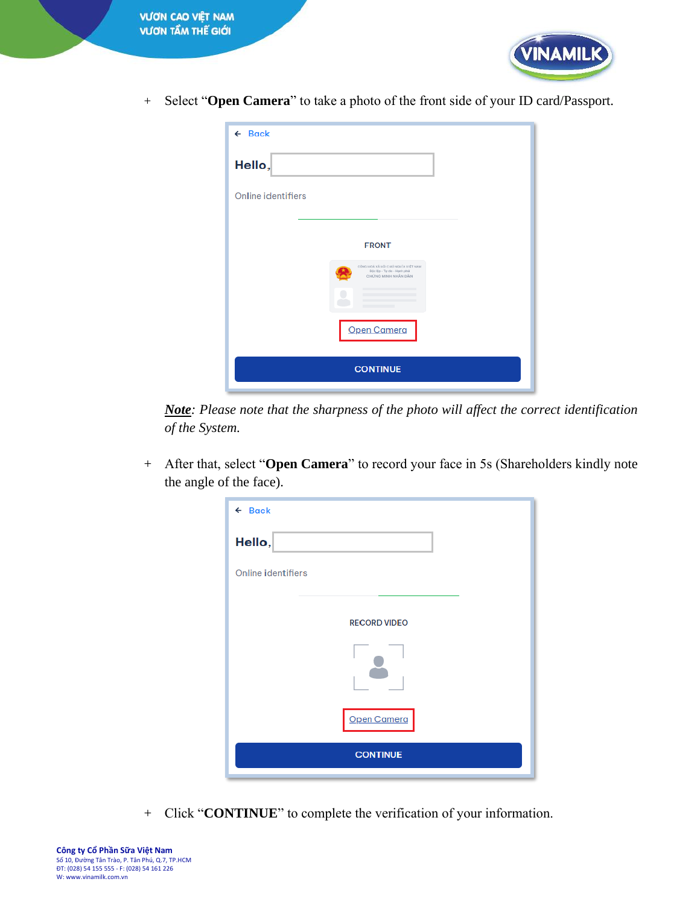



+ Select "**Open Camera**" to take a photo of the front side of your ID card/Passport.

| $\leftarrow$ Back                                                                      |
|----------------------------------------------------------------------------------------|
| Hello,                                                                                 |
| <b>Online identifiers</b>                                                              |
|                                                                                        |
| <b>FRONT</b>                                                                           |
| MANT TAN ATHOLOGICAL AND ADM CARD<br>Dộc lập - Tự do - Hạnh phú<br>CHÚNG MINH NHÂN DÂN |
|                                                                                        |
| Open Camera                                                                            |
| <b>CONTINUE</b>                                                                        |

*Note: Please note that the sharpness of the photo will affect the correct identification of the System.*

+ After that, select "**Open Camera**" to record your face in 5s (Shareholders kindly note the angle of the face).

| $\leftarrow$ Back         |
|---------------------------|
| Hello,                    |
| <b>Online identifiers</b> |
| <b>RECORD VIDEO</b>       |
|                           |
|                           |
| Open Camera               |
| <b>CONTINUE</b>           |

+ Click "**CONTINUE**" to complete the verification of your information.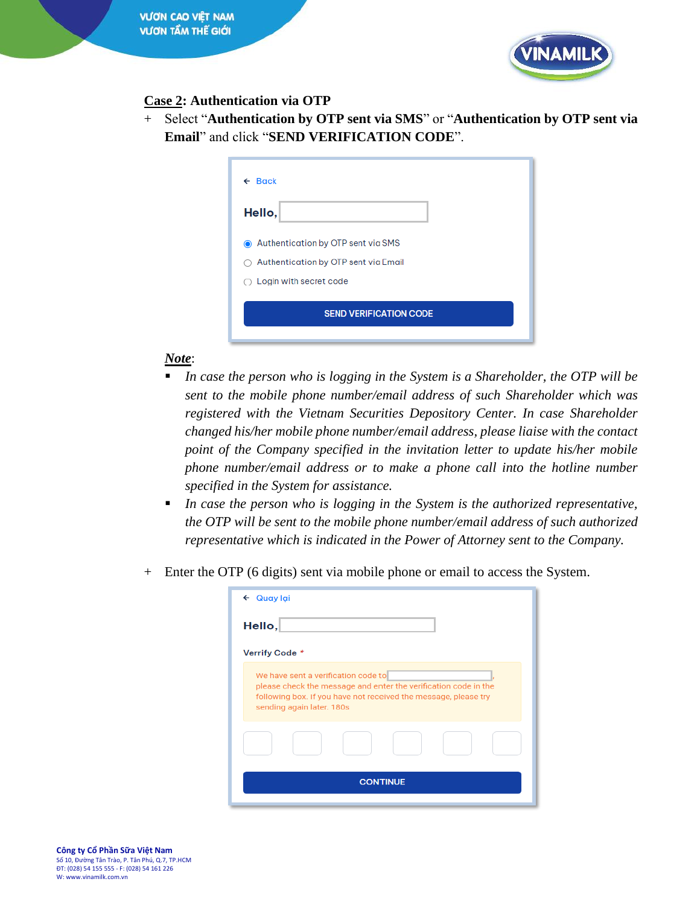

## **Case 2: Authentication via OTP**

+ Select "**Authentication by OTP sent via SMS**" or "**Authentication by OTP sent via Email**" and click "**SEND VERIFICATION CODE**".

| $\leftarrow$ Back |                                      |
|-------------------|--------------------------------------|
| Hello,            |                                      |
|                   | Authentication by OTP sent via SMS   |
|                   | Authentication by OTP sent via Email |
|                   | $\bigcirc$ Login with secret code    |
|                   | <b>SEND VERIFICATION CODE</b>        |
|                   |                                      |

## *Note*:

- *In case the person who is logging in the System is a Shareholder, the OTP will be sent to the mobile phone number/email address of such Shareholder which was registered with the Vietnam Securities Depository Center. In case Shareholder changed his/her mobile phone number/email address, please liaise with the contact point of the Company specified in the invitation letter to update his/her mobile phone number/email address or to make a phone call into the hotline number specified in the System for assistance.*
- *In case the person who is logging in the System is the authorized representative, the OTP will be sent to the mobile phone number/email address of such authorized representative which is indicated in the Power of Attorney sent to the Company.*
- + Enter the OTP (6 digits) sent via mobile phone or email to access the System.

| Quay lai<br>$\leftarrow$ |                                                                                                                                                                                                        |  |  |  |
|--------------------------|--------------------------------------------------------------------------------------------------------------------------------------------------------------------------------------------------------|--|--|--|
| Hello,                   |                                                                                                                                                                                                        |  |  |  |
| Verrify Code *           |                                                                                                                                                                                                        |  |  |  |
|                          | We have sent a verification code to<br>please check the message and enter the verification code in the<br>following box. If you have not received the message, please try<br>sending again later. 180s |  |  |  |
|                          |                                                                                                                                                                                                        |  |  |  |
| <b>CONTINUE</b>          |                                                                                                                                                                                                        |  |  |  |
|                          |                                                                                                                                                                                                        |  |  |  |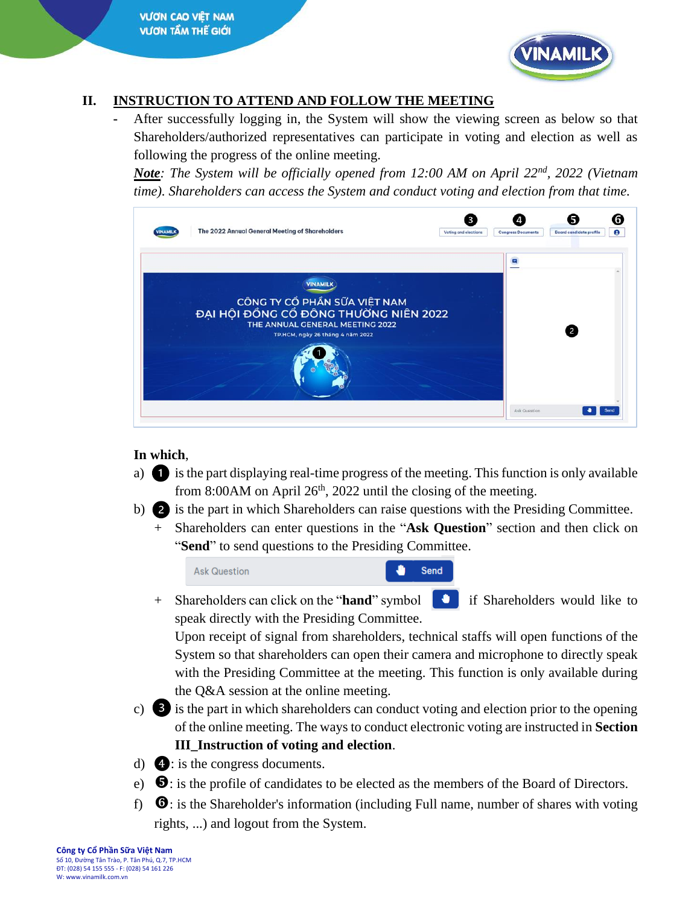

## **II. INSTRUCTION TO ATTEND AND FOLLOW THE MEETING**

**-** After successfully logging in, the System will show the viewing screen as below so that Shareholders/authorized representatives can participate in voting and election as well as following the progress of the online meeting.

*Note: The System will be officially opened from 12:00 AM on April 22nd, 2022 (Vietnam time). Shareholders can access the System and conduct voting and election from that time.*

|                                                               |                           | e                                   |
|---------------------------------------------------------------|---------------------------|-------------------------------------|
| Ξ                                                             |                           |                                     |
|                                                               |                           |                                     |
|                                                               |                           |                                     |
|                                                               |                           |                                     |
|                                                               |                           |                                     |
|                                                               |                           |                                     |
|                                                               |                           |                                     |
|                                                               |                           |                                     |
|                                                               |                           |                                     |
|                                                               |                           |                                     |
| Voting and elections<br>ĐẠI HỘI ĐỒNG CỔ ĐÔNG THƯỜNG NIÊN 2022 | <b>Congress Documents</b> | <b>Board candidate profile</b><br>2 |

## **In which**,

- a) is the part displaying real-time progress of the meeting. This function is only available from 8:00AM on April  $26<sup>th</sup>$ , 2022 until the closing of the meeting.
- b) **2** is the part in which Shareholders can raise questions with the Presiding Committee.
	- + Shareholders can enter questions in the "**Ask Question**" section and then click on "**Send**" to send questions to the Presiding Committee.

**Ask Question** Send

+ Shareholders can click on the "**hand**" symbol if Shareholders would like to speak directly with the Presiding Committee.

Upon receipt of signal from shareholders, technical staffs will open functions of the System so that shareholders can open their camera and microphone to directly speak with the Presiding Committee at the meeting. This function is only available during the Q&A session at the online meeting.

- c) **3** is the part in which shareholders can conduct voting and election prior to the opening of the online meeting. The ways to conduct electronic voting are instructed in **Section III\_Instruction of voting and election**.
- d)  $\Phi$ : is the congress documents.
- e)  $\bullet$ : is the profile of candidates to be elected as the members of the Board of Directors.
- f)  $\bullet$ : is the Shareholder's information (including Full name, number of shares with voting rights, ...) and logout from the System.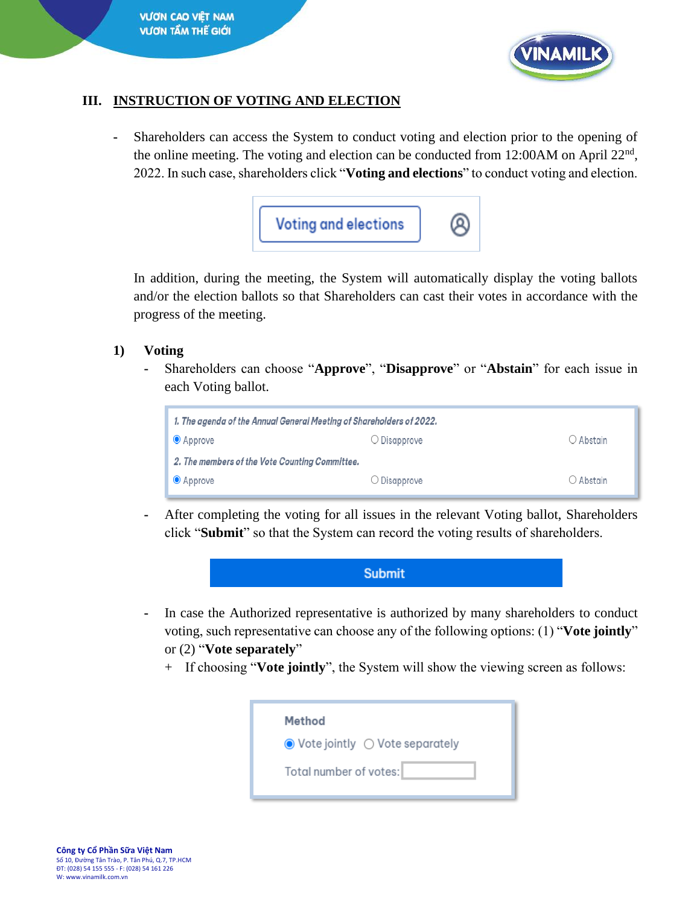

#### **III. INSTRUCTION OF VOTING AND ELECTION**

**-** Shareholders can access the System to conduct voting and election prior to the opening of the online meeting. The voting and election can be conducted from 12:00AM on April  $22<sup>nd</sup>$ , 2022. In such case, shareholders click "**Voting and elections**" to conduct voting and election.



In addition, during the meeting, the System will automatically display the voting ballots and/or the election ballots so that Shareholders can cast their votes in accordance with the progress of the meeting.

#### **1) Voting**

**-** Shareholders can choose "**Approve**", "**Disapprove**" or "**Abstain**" for each issue in each Voting ballot.



**-** After completing the voting for all issues in the relevant Voting ballot, Shareholders click "**Submit**" so that the System can record the voting results of shareholders.



- **-** In case the Authorized representative is authorized by many shareholders to conduct voting, such representative can choose any of the following options: (1) "**Vote jointly**" or (2) "**Vote separately**"
	- + If choosing "**Vote jointly**", the System will show the viewing screen as follows:

| Method                 |                                                            |
|------------------------|------------------------------------------------------------|
|                        | $\bullet$ Vote jointly $\circlearrowright$ Vote separately |
| Total number of votes: |                                                            |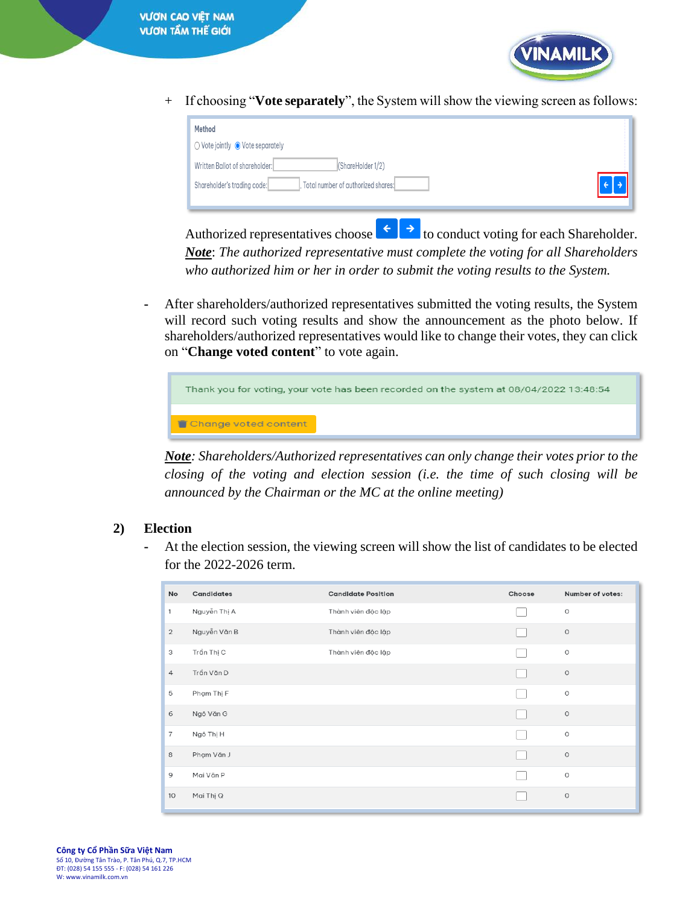

+ If choosing "**Vote separately**", the System will show the viewing screen as follows:

| Method<br>$\bigcirc$ Vote jointly $\bigcirc$ Vote separately<br>(ShareHolder 1/2)<br>Written Ballot of shareholder: |  |
|---------------------------------------------------------------------------------------------------------------------|--|
| Total number of authorized shares:<br>Shareholder's trading code:                                                   |  |

Authorized representatives choose  $\epsilon$  to conduct voting for each Shareholder. *Note*: *The authorized representative must complete the voting for all Shareholders who authorized him or her in order to submit the voting results to the System.*

**-** After shareholders/authorized representatives submitted the voting results, the System will record such voting results and show the announcement as the photo below. If shareholders/authorized representatives would like to change their votes, they can click on "**Change voted content**" to vote again.

| Thank you for voting, your vote has been recorded on the system at 08/04/2022 13:48:54 |  |  |  |  |  |
|----------------------------------------------------------------------------------------|--|--|--|--|--|
| Change voted content                                                                   |  |  |  |  |  |

*Note: Shareholders/Authorized representatives can only change their votes prior to the closing of the voting and election session (i.e. the time of such closing will be announced by the Chairman or the MC at the online meeting)* 

### **2) Election**

**-** At the election session, the viewing screen will show the list of candidates to be elected for the 2022-2026 term.

| No             | Candidates   | <b>Candidate Position</b> | Choose | Number of votes: |
|----------------|--------------|---------------------------|--------|------------------|
| 1              | Nguyễn Thị A | Thành viên độc lập        |        | $\circ$          |
| $\overline{2}$ | Nguyễn Văn B | Thành viên độc lập        |        | $\circ$          |
| 3              | Trần Thị C   | Thành viên độc lập        |        | $\circ$          |
| $\overline{4}$ | Trần Văn D   |                           |        | $\circ$          |
| 5              | Phạm Thị F   |                           |        | $\circ$          |
| 6              | Ngô Văn G    |                           |        | $\circ$          |
| 7              | Ngô Thị H    |                           |        | $\circ$          |
| 8              | Phạm Văn J   |                           |        | $\circ$          |
| 9              | Mai Văn P    |                           |        | $\circ$          |
| 10             | Mai Thị Q    |                           |        | $\circ$          |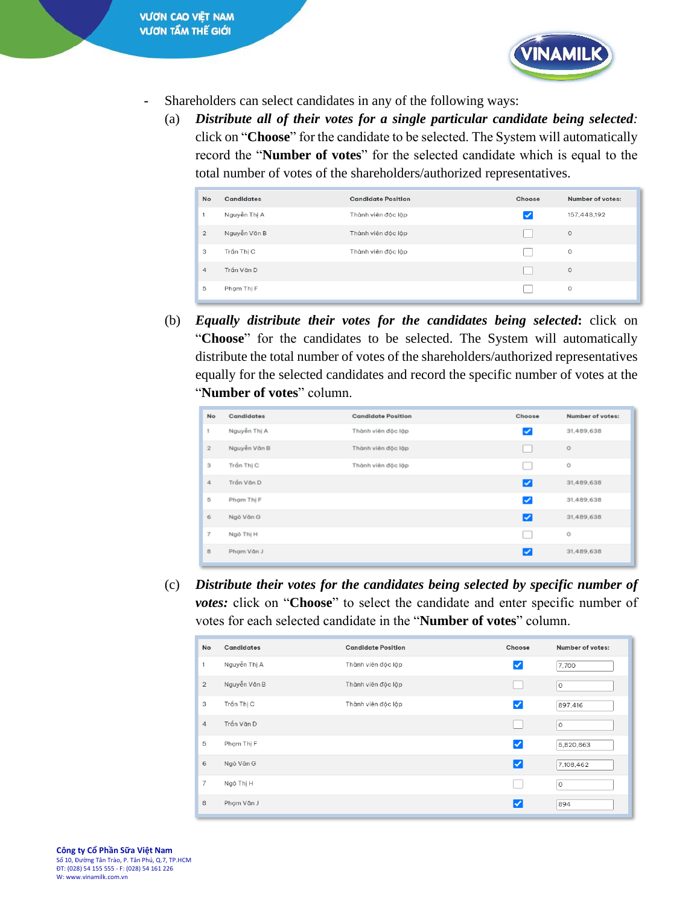

- **-** Shareholders can select candidates in any of the following ways:
	- (a) *Distribute all of their votes for a single particular candidate being selected:*  click on "**Choose**" for the candidate to be selected. The System will automatically record the "**Number of votes**" for the selected candidate which is equal to the total number of votes of the shareholders/authorized representatives.

| <b>No</b>      | Candidates   | <b>Candidate Position</b> | Choose | Number of votes: |
|----------------|--------------|---------------------------|--------|------------------|
| 1              | Nguyễn Thị A | Thành viên độc lập        |        | 157,448,192      |
| $\overline{2}$ | Nguyễn Văn B | Thành viên độc lập        |        | $\circ$          |
| 3              | Trần Thị C   | Thành viên độc lập        |        | $\circ$          |
| $\overline{4}$ | Trần Văn D   |                           |        | $\circ$          |
| 5              | Phạm Thị F   |                           |        | $\circ$          |

(b) *Equally distribute their votes for the candidates being selected***:** click on "**Choose**" for the candidates to be selected. The System will automatically distribute the total number of votes of the shareholders/authorized representatives equally for the selected candidates and record the specific number of votes at the "**Number of votes**" column.

| No             | Candidates   | <b>Candidate Position</b> | Choose                  | Number of votes: |
|----------------|--------------|---------------------------|-------------------------|------------------|
| 1              | Nguyễn Thị A | Thành viên độc lập        | $\overline{\mathbf{v}}$ | 31,489,638       |
| $\sqrt{2}$     | Nguyễn Văn B | Thành viên độc lập        | L.                      | $\circ$          |
| 3              | Trần Thị C   | Thành viên độc lập        | L.                      | $\circ$          |
| 4              | Trần Văn D   |                           | ☑                       | 31,489,638       |
| 5              | Phạm Thị F   |                           | $\blacktriangledown$    | 31,489,638       |
| 6              | Ngô Văn G    |                           | ☑                       | 31,489,638       |
| $\overline{7}$ | Ngô Thị H    |                           | L.                      | $\circ$          |
| 8              | Phạm Văn J   |                           | ☑                       | 31,489,638       |

(c) *Distribute their votes for the candidates being selected by specific number of votes:* click on "**Choose**" to select the candidate and enter specific number of votes for each selected candidate in the "**Number of votes**" column.

| No             | <b>Candidates</b> | <b>Candidate Position</b> | Choose          | Number of votes: |
|----------------|-------------------|---------------------------|-----------------|------------------|
| 1              | Nguyễn Thị A      | Thành viên độc lập        | ✓               | 7,700            |
| $\overline{2}$ | Nguyễn Văn B      | Thành viên độc lập        |                 | 0                |
| 3              | Trần Thị C        | Thành viên độc lập        | $ \mathcal{S} $ | 897,416          |
| $\overline{4}$ | Trần Văn D        |                           |                 | 0                |
| 5              | Phạm Thị F        |                           | $ \mathcal{S} $ | 5,820,863        |
| 6              | Ngô Văn G         |                           | ☑               | 7,108,462        |
| $\overline{7}$ | Ngô Thị H         |                           |                 | $\circ$          |
| 8              | Phạm Văn J        |                           | ✓               | 894              |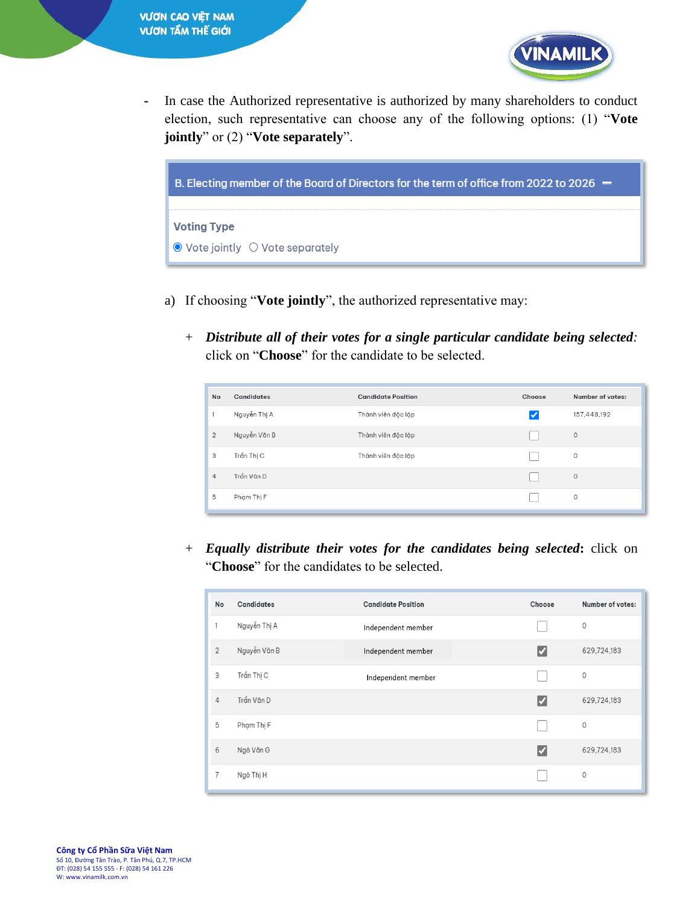

**-** In case the Authorized representative is authorized by many shareholders to conduct election, such representative can choose any of the following options: (1) "**Vote jointly**" or (2) "**Vote separately**".



- a) If choosing "**Vote jointly**", the authorized representative may:
	- + *Distribute all of their votes for a single particular candidate being selected:*  click on "**Choose**" for the candidate to be selected.

| <b>No</b>      | Candidates   | <b>Candidate Position</b> | Choose | Number of votes: |
|----------------|--------------|---------------------------|--------|------------------|
| 1              | Nguyễn Thị A | Thành viên độc lập        | ✓      | 157,448,192      |
| $\overline{2}$ | Nguyễn Văn B | Thành viên độc lập        |        | $\circ$          |
| 3              | Trần Thị C   | Thành viên độc lập        |        | 0                |
| $\overline{4}$ | Trần Văn D   |                           |        | $\circ$          |
| 5              | Pham Thi F   |                           |        | 0                |

+ *Equally distribute their votes for the candidates being selected***:** click on "**Choose**" for the candidates to be selected.

| No             | Candidates   | <b>Candidate Position</b> | Choose | Number of votes: |
|----------------|--------------|---------------------------|--------|------------------|
| 1              | Nguyễn Thị A | Independent member        |        | $\circ$          |
| $\overline{2}$ | Nguyễn Văn B | Independent member        | ✓      | 629,724,183      |
| 3              | Trần Thị C   | Independent member        |        | $\circ$          |
| $\overline{4}$ | Trần Văn D   |                           | ✔      | 629,724,183      |
| 5              | Phạm Thị F   |                           |        | $\mathbb O$      |
| 6              | Ngô Văn G    |                           | ✔      | 629,724,183      |
| $\overline{7}$ | Ngô Thị H    |                           |        | 0                |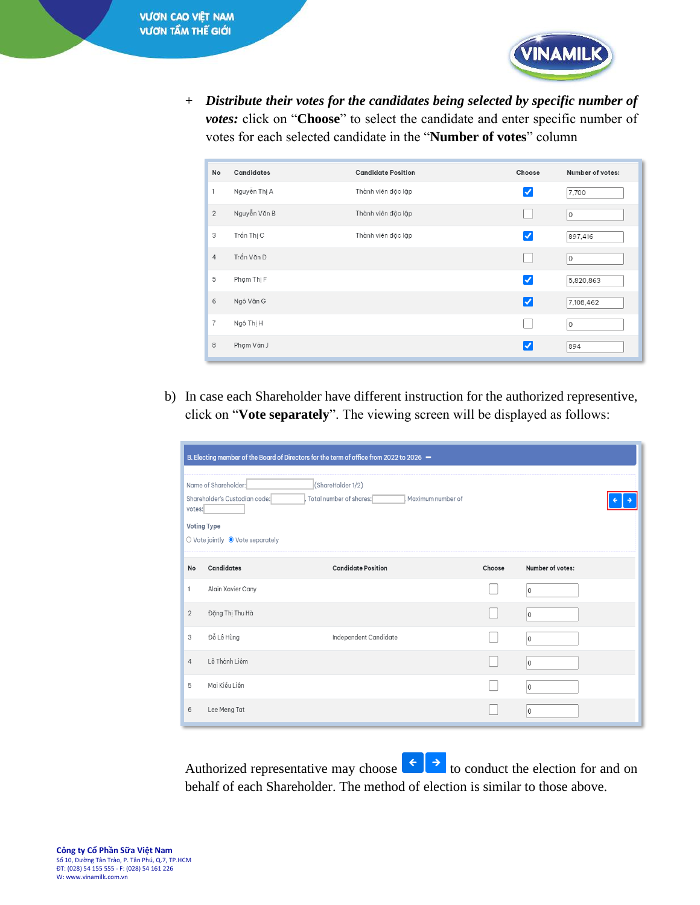

+ *Distribute their votes for the candidates being selected by specific number of votes:* click on "**Choose**" to select the candidate and enter specific number of votes for each selected candidate in the "**Number of votes**" column

| No             | <b>Candidates</b> | <b>Candidate Position</b> | Choose                 | Number of votes: |
|----------------|-------------------|---------------------------|------------------------|------------------|
| 1              | Nguyễn Thị A      | Thành viên độc lập        | ✓                      | 7,700            |
| $\overline{2}$ | Nguyễn Văn B      | Thành viên độc lập        |                        | $\circ$          |
| 3              | Trần Thị C        | Thành viên độc lập        | $\vert\checkmark\vert$ | 897,416          |
| $\overline{4}$ | Trần Văn D        |                           |                        | $\circ$          |
| 5              | Phạm Thị F        |                           | $\vert\checkmark\vert$ | 5,820,863        |
| 6              | Ngô Văn G         |                           | $ \mathcal{S} $        | 7,108,462        |
| $\overline{7}$ | Ngô Thị H         |                           |                        | $\circ$          |
| 8              | Phạm Văn J        |                           | ∨                      | 894              |

b) In case each Shareholder have different instruction for the authorized representive, click on "**Vote separately**". The viewing screen will be displayed as follows:

| B. Electing member of the Board of Directors for the term of office from 2022 to 2026 -                                                                                                        |                   |                           |        |                  |  |
|------------------------------------------------------------------------------------------------------------------------------------------------------------------------------------------------|-------------------|---------------------------|--------|------------------|--|
| Name of Shareholder:<br>(ShareHolder 1/2)<br>Shareholder's Custodian code:<br>Total number of shares:<br>Maximum number of<br>votes:<br><b>Voting Type</b><br>○ Vote jointly ● Vote separately |                   |                           |        |                  |  |
| No                                                                                                                                                                                             | Candidates        | <b>Candidate Position</b> | Choose | Number of votes: |  |
| 1                                                                                                                                                                                              | Alain Xavier Cany |                           |        | $\Omega$         |  |
| $\overline{2}$                                                                                                                                                                                 | Đặng Thị Thu Hà   |                           |        | $\circ$          |  |
| 3                                                                                                                                                                                              | Đỗ Lê Hùng        | Independent Candidate     |        | 0                |  |
| $\overline{4}$                                                                                                                                                                                 | Lê Thành Liêm     |                           |        | 0                |  |
| 5                                                                                                                                                                                              | Mai Kiều Liên     |                           |        | $\circ$          |  |
| 6                                                                                                                                                                                              | Lee Meng Tat      |                           |        | 0                |  |

Authorized representative may choose  $\left\{ \left\{ \cdot \right\} \right\}$  to conduct the election for and on behalf of each Shareholder. The method of election is similar to those above.